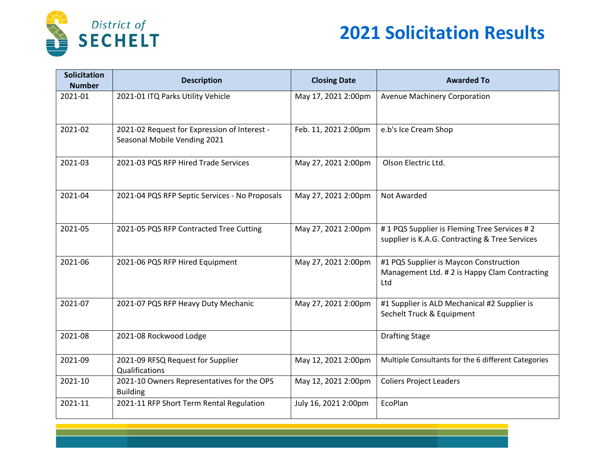

## **2021 Solicitation Results**

| <b>Solicitation</b><br><b>Number</b> | <b>Description</b>                                                           | <b>Closing Date</b>  | <b>Awarded To</b>                                                                             |
|--------------------------------------|------------------------------------------------------------------------------|----------------------|-----------------------------------------------------------------------------------------------|
| 2021-01                              | 2021-01 ITQ Parks Utility Vehicle                                            | May 17, 2021 2:00pm  | Avenue Machinery Corporation                                                                  |
| 2021-02                              | 2021-02 Request for Expression of Interest -<br>Seasonal Mobile Vending 2021 | Feb. 11, 2021 2:00pm | e.b's Ice Cream Shop                                                                          |
| 2021-03                              | 2021-03 PQS RFP Hired Trade Services                                         | May 27, 2021 2:00pm  | Olson Electric Ltd.                                                                           |
| 2021-04                              | 2021-04 PQS RFP Septic Services - No Proposals                               | May 27, 2021 2:00pm  | <b>Not Awarded</b>                                                                            |
| 2021-05                              | 2021-05 PQS RFP Contracted Tree Cutting                                      | May 27, 2021 2:00pm  | #1 PQS Supplier is Fleming Tree Services #2<br>supplier is K.A.G. Contracting & Tree Services |
| 2021-06                              | 2021-06 PQS RFP Hired Equipment                                              | May 27, 2021 2:00pm  | #1 PQS Supplier is Maycon Construction<br>Management Ltd. #2 is Happy Clam Contracting<br>Ltd |
| 2021-07                              | 2021-07 PQS RFP Heavy Duty Mechanic                                          | May 27, 2021 2:00pm  | #1 Supplier is ALD Mechanical #2 Supplier is<br>Sechelt Truck & Equipment                     |
| 2021-08                              | 2021-08 Rockwood Lodge                                                       |                      | <b>Drafting Stage</b>                                                                         |
| 2021-09                              | 2021-09 RFSQ Request for Supplier<br>Qualifications                          | May 12, 2021 2:00pm  | Multiple Consultants for the 6 different Categories                                           |
| 2021-10                              | 2021-10 Owners Representatives for the OPS<br><b>Building</b>                | May 12, 2021 2:00pm  | <b>Coliers Project Leaders</b>                                                                |
| 2021-11                              | 2021-11 RFP Short Term Rental Regulation                                     | July 16, 2021 2:00pm | EcoPlan                                                                                       |